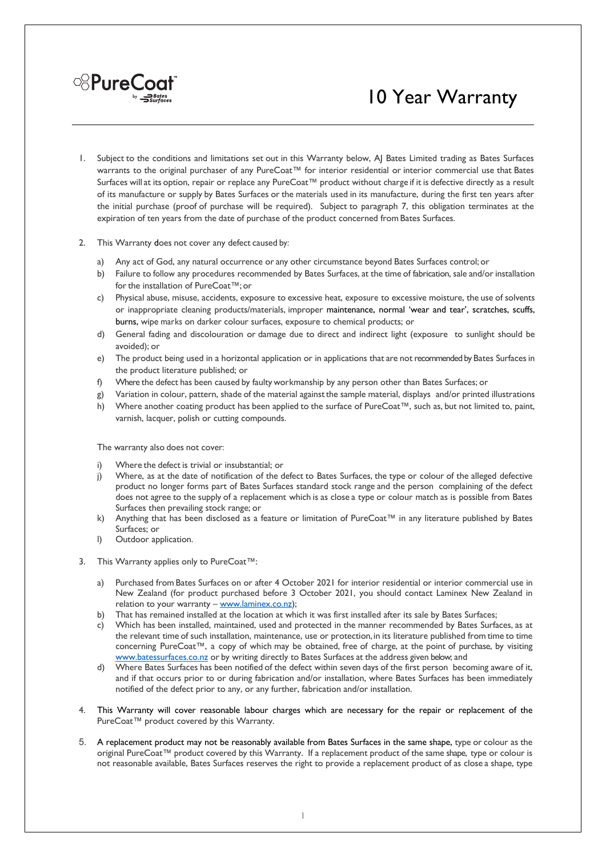

- 1. Subject to the conditions and limitations set out in this Warranty below, AJ Bates Limited trading as Bates Surfaces warrants to the original purchaser of any PureCoat™ for interior residential or interior commercial use that Bates Surfaces will at its option, repair or replace any PureCoat™ product without charge if it is defective directly as a result of its manufacture or supply by Bates Surfaces or the materials used in its manufacture, during the first ten years after the initial purchase (proof of purchase will be required). Subject to paragraph 7, this obligation terminates at the expiration of ten years from the date of purchase of the product concerned from Bates Surfaces.
- 2. This Warranty does not cover any defect caused by:

<sup>8</sup>PureCoat®

- a) Any act of God, any natural occurrence or any other circumstance beyond Bates Surfaces control; or
- b) Failure to follow any procedures recommended by Bates Surfaces, at the time of fabrication, sale and/or installation forthe installation of PureCoat™;or
- c) Physical abuse, misuse, accidents, exposure to excessive heat, exposure to excessive moisture, the use of solvents or inappropriate cleaning products/materials, improper maintenance, normal 'wear and tear', scratches, scuffs, burns, wipe marks on darker colour surfaces, exposure to chemical products; or
- d) General fading and discolouration or damage due to direct and indirect light (exposure to sunlight should be avoided); or
- e) The product being used in a horizontal application or in applications that are not recommended by Bates Surfaces in the product literature published; or
- f) Where the defect has been caused by faulty workmanship by any person other than Bates Surfaces; or
- g) Variation in colour, pattern, shade of the material againstthe sample material, displays and/or printed illustrations
- h) Where another coating product has been applied to the surface of PureCoat™, such as, but not limited to, paint, varnish, lacquer, polish or cutting compounds.

The warranty also does not cover:

- Where the defect is trivial or insubstantial; or
- j) Where, as at the date of notification of the defect to Bates Surfaces, the type or colour of the alleged defective product no longer forms part of Bates Surfaces standard stock range and the person complaining of the defect does not agree to the supply of a replacement which is as close a type or colour match as is possible from Bates Surfaces then prevailing stock range; or
- k) Anything that has been disclosed as a feature or limitation of PureCoat™ in any literature published by Bates Surfaces; or
- l) Outdoor application.
- 3. This Warranty applies only to PureCoat™:
	- a) Purchased from Bates Surfaces on or after 4 October 2021 for interior residential or interior commercial use in New Zealand (for product purchased before 3 October 2021, you should contact Laminex New Zealand in relation to your warranty - www.laminex.co.nz);
	- b) That has remained installed at the location at which it was first installed after its sale by Bates Surfaces;
	- c) Which has been installed, maintained, used and protected in the manner recommended by Bates Surfaces, as at the relevant time of such installation, maintenance, use or protection, in its literature published from time to time concerning PureCoat™, a copy of which may be obtained, free of charge, at the point of purchase, by visiting www.batessurfaces.co.nz or by writing directly to Bates Surfaces at the address given below; and
	- d) Where Bates Surfaces has been notified of the defect within seven days of the first person becoming aware of it, and if that occurs prior to or during fabrication and/or installation, where Bates Surfaces has been immediately notified of the defect prior to any, or any further, fabrication and/or installation.
- 4. This Warranty will cover reasonable labour charges which are necessary for the repair or replacement of the PureCoat™ product covered by this Warranty.
- 5. A replacement product may not be reasonably available from Bates Surfaces in the same shape, type or colour as the original PureCoat™ product covered by this Warranty. If a replacement product of the same shape, type or colour is not reasonable available, Bates Surfaces reserves the right to provide a replacement product of as close a shape, type